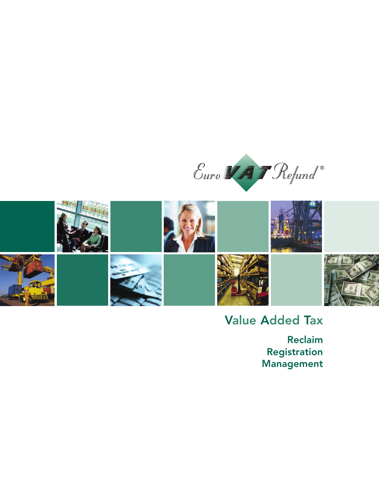



## Value Added Tax

Reclaim Registration Management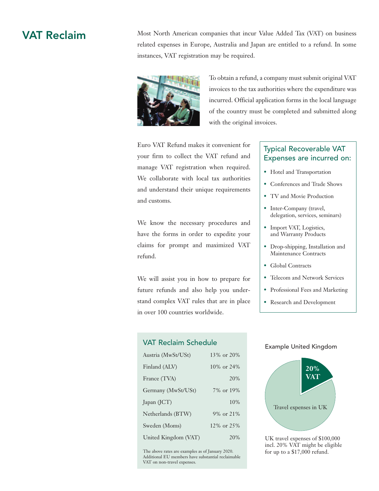VAT Reclaim Most North American companies that incur Value Added Tax (VAT) on business related expenses in Europe, Australia and Japan are entitled to a refund. In some instances, VAT registration may be required.



To obtain a refund, a company must submit original VAT invoices to the tax authorities where the expenditure was incurred. Official application forms in the local language of the country must be completed and submitted along with the original invoices.

Euro VAT Refund makes it convenient for your firm to collect the VAT refund and manage VAT registration when required. We collaborate with local tax authorities and understand their unique requirements and customs.

We know the necessary procedures and have the forms in order to expedite your claims for prompt and maximized VAT refund.

We will assist you in how to prepare for future refunds and also help you understand complex VAT rules that are in place in over 100 countries worldwide.

#### VAT Reclaim Schedule

| Austria (MwSt/USt)   | $13\%$ or $20\%$        |
|----------------------|-------------------------|
| Finland (ALV)        | $10\% \text{ or } 24\%$ |
| France (TVA)         | 20%                     |
| Germany (MwSt/USt)   | 7% or 19%               |
| Japan (JCT)          | 10%                     |
| Netherlands (BTW)    | 9% or 21%               |
| Sweden (Moms)        | 12\% or 25\%            |
| United Kingdom (VAT) | 20%                     |

The above rates are examples as of January 2020. Additional EU members have substantial reclaimable VAT on non-travel expenses.

#### Typical Recoverable VAT Expenses are incurred on:

- Hotel and Transportation
- Conferences and Trade Shows
- TV and Movie Production
- Inter-Company (travel, delegation, services, seminars)
- Import VAT, Logistics, and Warranty Products
- Drop-shipping, Installation and Maintenance Contracts
- Global Contracts
- Telecom and Network Services
- Professional Fees and Marketing
- Research and Development

#### Example United Kingdom



UK travel expenses of \$100,000 incl. 20% VAT might be eligible for up to a \$17,000 refund.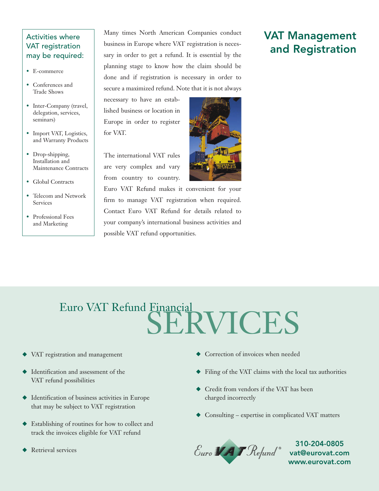#### Activities where VAT registration may be required:

- E-commerce
- Conferences and Trade Shows
- Inter-Company (travel, delegation, services, seminars)
- Import VAT, Logistics, and Warranty Products
- Drop-shipping, Installation and Maintenance Contracts
- Global Contracts
- Telecom and Network Services
- Professional Fees and Marketing

Many times North American Companies conduct business in Europe where VAT registration is necessary in order to get a refund. It is essential by the planning stage to know how the claim should be done and if registration is necessary in order to secure a maximized refund. Note that it is not always

necessary to have an established business or location in Europe in order to register for VAT.

The international VAT rules are very complex and vary from country to country.



### VAT Management and Registration

# SERVICES Euro VAT Refund Financial

- VAT registration and management
- $\blacklozenge$  Identification and assessment of the VAT refund possibilities
- $\blacklozenge$  Identification of business activities in Europe that may be subject to VAT registration
- $\blacklozenge$  Establishing of routines for how to collect and track the invoices eligible for VAT refund
- Retrieval services
- $\blacklozenge$  Correction of invoices when needed
- $\blacklozenge$  Filing of the VAT claims with the local tax authorities
- $\blacklozenge$  Credit from vendors if the VAT has been charged incorrectly
- $\triangle$  Consulting expertise in complicated VAT matters



310-204-0805 www.eurovat.com